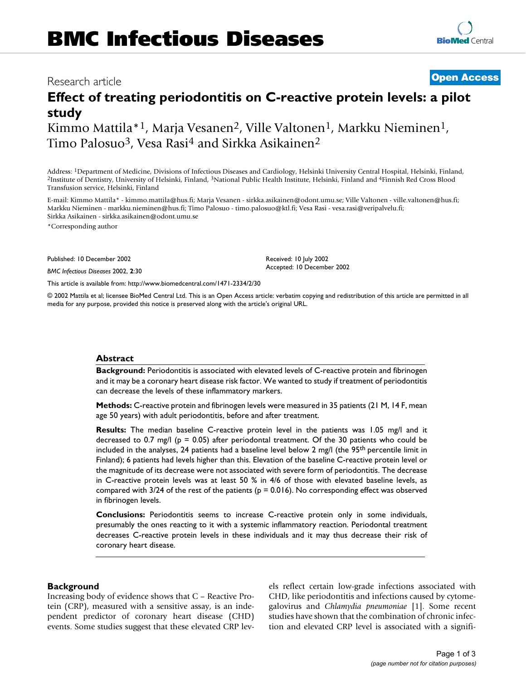## BMC Infectious Diseases 2002, 2 <sup>x</sup> **[Open Access](http://www.biomedcentral.com/info/about/charter/)** Research article

**[BioMed](http://www.biomedcentral.com/)** Central

# **Effect of treating periodontitis on C-reactive protein levels: a pilot study**

Kimmo Mattila<sup>\*1</sup>, Marja Vesanen<sup>2</sup>, Ville Valtonen<sup>1</sup>, Markku Nieminen<sup>1</sup>, Timo Palosuo<sup>3</sup>, Vesa Rasi<sup>4</sup> and Sirkka Asikainen<sup>2</sup>

Address: <sup>1</sup>Department of Medicine, Divisions of Infectious Diseases and Cardiology, Helsinki University Central Hospital, Helsinki, Finland, <sup>2</sup>Institute of Dentistry, University of Helsinki, Finland, <sup>3</sup>National Public H Transfusion service, Helsinki, Finland

E-mail: Kimmo Mattila\* - kimmo.mattila@hus.fi; Marja Vesanen - sirkka.asikainen@odont.umu.se; Ville Valtonen - ville.valtonen@hus.fi; Markku Nieminen - markku.nieminen@hus.fi; Timo Palosuo - timo.palosuo@ktl.fi; Vesa Rasi - vesa.rasi@veripalvelu.fi; Sirkka Asikainen - sirkka.asikainen@odont.umu.se

\*Corresponding author

Published: 10 December 2002

*BMC Infectious Diseases* 2002, **2**:30

[This article is available from: http://www.biomedcentral.com/1471-2334/2/30](http://www.biomedcentral.com/1471-2334/2/30)

© 2002 Mattila et al; licensee BioMed Central Ltd. This is an Open Access article: verbatim copying and redistribution of this article are permitted in all media for any purpose, provided this notice is preserved along with the article's original URL.

Received: 10 July 2002 Accepted: 10 December 2002

#### **Abstract**

**Background:** Periodontitis is associated with elevated levels of C-reactive protein and fibrinogen and it may be a coronary heart disease risk factor. We wanted to study if treatment of periodontitis can decrease the levels of these inflammatory markers.

**Methods:** C-reactive protein and fibrinogen levels were measured in 35 patients (21 M, 14 F, mean age 50 years) with adult periodontitis, before and after treatment.

**Results:** The median baseline C-reactive protein level in the patients was 1.05 mg/l and it decreased to 0.7 mg/l ( $p = 0.05$ ) after periodontal treatment. Of the 30 patients who could be included in the analyses, 24 patients had a baseline level below 2 mg/l (the 95<sup>th</sup> percentile limit in Finland); 6 patients had levels higher than this. Elevation of the baseline C-reactive protein level or the magnitude of its decrease were not associated with severe form of periodontitis. The decrease in C-reactive protein levels was at least 50 % in 4/6 of those with elevated baseline levels, as compared with 3/24 of the rest of the patients (p = 0.016). No corresponding effect was observed in fibrinogen levels.

**Conclusions:** Periodontitis seems to increase C-reactive protein only in some individuals, presumably the ones reacting to it with a systemic inflammatory reaction. Periodontal treatment decreases C-reactive protein levels in these individuals and it may thus decrease their risk of coronary heart disease.

#### **Background**

Increasing body of evidence shows that C – Reactive Protein (CRP), measured with a sensitive assay, is an independent predictor of coronary heart disease (CHD) events. Some studies suggest that these elevated CRP levels reflect certain low-grade infections associated with CHD, like periodontitis and infections caused by cytomegalovirus and *Chlamydia pneumoniae* [1]. Some recent studies have shown that the combination of chronic infection and elevated CRP level is associated with a signifi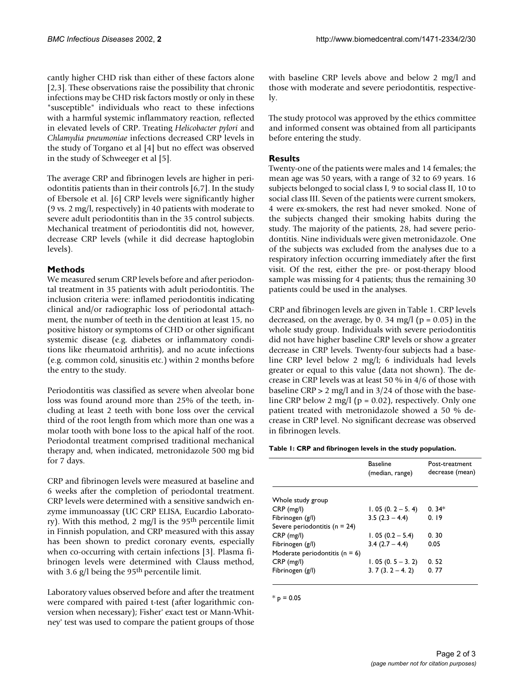cantly higher CHD risk than either of these factors alone [2,3]. These observations raise the possibility that chronic infections may be CHD risk factors mostly or only in these "susceptible" individuals who react to these infections with a harmful systemic inflammatory reaction, reflected in elevated levels of CRP. Treating *Helicobacter pylori* and *Chlamydia pneumoniae* infections decreased CRP levels in the study of Torgano et al [4] but no effect was observed in the study of Schweeger et al [5].

The average CRP and fibrinogen levels are higher in periodontitis patients than in their controls [6,7]. In the study of Ebersole et al. [6] CRP levels were significantly higher (9 vs. 2 mg/l, respectively) in 40 patients with moderate to severe adult periodontitis than in the 35 control subjects. Mechanical treatment of periodontitis did not, however, decrease CRP levels (while it did decrease haptoglobin levels).

#### **Methods**

We measured serum CRP levels before and after periodontal treatment in 35 patients with adult periodontitis. The inclusion criteria were: inflamed periodontitis indicating clinical and/or radiographic loss of periodontal attachment, the number of teeth in the dentition at least 15, no positive history or symptoms of CHD or other significant systemic disease (e.g. diabetes or inflammatory conditions like rheumatoid arthritis), and no acute infections (e.g. common cold, sinusitis etc.) within 2 months before the entry to the study.

Periodontitis was classified as severe when alveolar bone loss was found around more than 25% of the teeth, including at least 2 teeth with bone loss over the cervical third of the root length from which more than one was a molar tooth with bone loss to the apical half of the root. Periodontal treatment comprised traditional mechanical therapy and, when indicated, metronidazole 500 mg bid for 7 days.

CRP and fibrinogen levels were measured at baseline and 6 weeks after the completion of periodontal treatment. CRP levels were determined with a sensitive sandwich enzyme immunoassay (UC CRP ELISA, Eucardio Laboratory). With this method, 2 mg/l is the 95th percentile limit in Finnish population, and CRP measured with this assay has been shown to predict coronary events, especially when co-occurring with certain infections [3]. Plasma fibrinogen levels were determined with Clauss method, with 3.6  $g/l$  being the 95<sup>th</sup> percentile limit.

Laboratory values observed before and after the treatment were compared with paired t-test (after logarithmic conversion when necessary); Fisher' exact test or Mann-Whitney' test was used to compare the patient groups of those with baseline CRP levels above and below 2 mg/l and those with moderate and severe periodontitis, respectively.

The study protocol was approved by the ethics committee and informed consent was obtained from all participants before entering the study.

### **Results**

Twenty-one of the patients were males and 14 females; the mean age was 50 years, with a range of 32 to 69 years. 16 subjects belonged to social class I, 9 to social class II, 10 to social class III. Seven of the patients were current smokers, 4 were ex-smokers, the rest had never smoked. None of the subjects changed their smoking habits during the study. The majority of the patients, 28, had severe periodontitis. Nine individuals were given metronidazole. One of the subjects was excluded from the analyses due to a respiratory infection occurring immediately after the first visit. Of the rest, either the pre- or post-therapy blood sample was missing for 4 patients; thus the remaining 30 patients could be used in the analyses.

CRP and fibrinogen levels are given in Table 1. CRP levels decreased, on the average, by 0. 34 mg/l ( $p = 0.05$ ) in the whole study group. Individuals with severe periodontitis did not have higher baseline CRP levels or show a greater decrease in CRP levels. Twenty-four subjects had a baseline CRP level below 2 mg/l; 6 individuals had levels greater or equal to this value (data not shown). The decrease in CRP levels was at least 50 % in 4/6 of those with baseline CRP  $> 2$  mg/l and in 3/24 of those with the baseline CRP below 2 mg/l ( $p = 0.02$ ), respectively. Only one patient treated with metronidazole showed a 50 % decrease in CRP level. No significant decrease was observed in fibrinogen levels.

**Table 1: CRP and fibrinogen levels in the study population.**

|                                    | <b>Baseline</b><br>(median, range) | Post-treatment<br>decrease (mean) |
|------------------------------------|------------------------------------|-----------------------------------|
| Whole study group                  |                                    |                                   |
| $CRP$ (mg/l)                       | $1.05(0.2 - 5.4)$                  | $0.34*$                           |
| Fibrinogen (g/l)                   | $3.5(2.3 - 4.4)$                   | 0.19                              |
| Severe periodontitis ( $n = 24$ )  |                                    |                                   |
| $CRP$ (mg/l)                       | $1.05(0.2 - 5.4)$                  | 0.30                              |
| Fibrinogen (g/l)                   | $3.4(2.7 - 4.4)$                   | 0.05                              |
| Moderate periodontitis ( $n = 6$ ) |                                    |                                   |
| $CRP$ (mg/l)                       | $1.05(0.5 - 3.2)$                  | 0.52                              |
| Fibrinogen (g/l)                   | $3.7(3.2 - 4.2)$                   | 0.77                              |

 $*_{\text{p}} = 0.05$